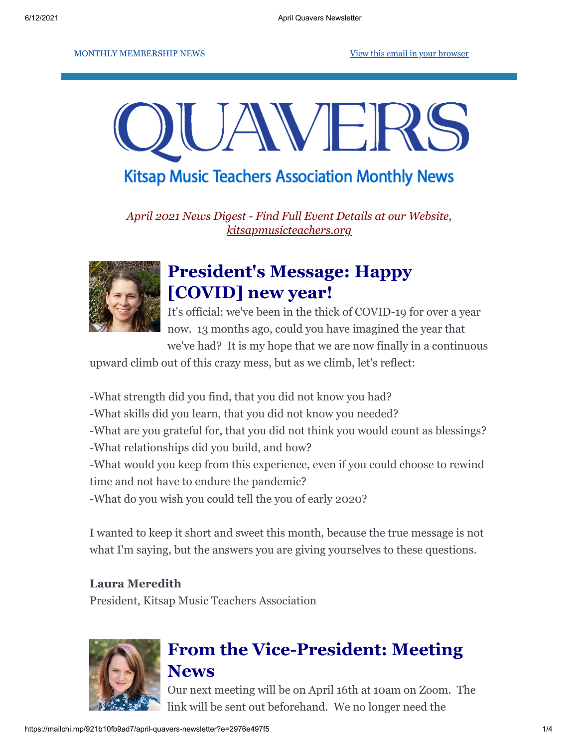MONTHLY MEMBERSHIP NEWS **[View this email in your browser](https://mailchi.mp/921b10fb9ad7/april-quavers-newsletter?e=2976e497f5)** 



**Kitsap Music Teachers Association Monthly News** 

*April 2021 News Digest - Find Full Event Details at our Website, [kitsapmusicteachers.org](http://www.kitsapmusicteachers.org/)*



# **President's Message: Happy [COVID] new year!**

It's official: we've been in the thick of COVID-19 for over a year now. 13 months ago, could you have imagined the year that

we've had? It is my hope that we are now finally in a continuous

upward climb out of this crazy mess, but as we climb, let's reflect:

-What strength did you find, that you did not know you had? -What skills did you learn, that you did not know you needed? -What are you grateful for, that you did not think you would count as blessings? -What relationships did you build, and how? -What would you keep from this experience, even if you could choose to rewind time and not have to endure the pandemic? -What do you wish you could tell the you of early 2020?

I wanted to keep it short and sweet this month, because the true message is not what I'm saying, but the answers you are giving yourselves to these questions.

#### **Laura Meredith**

President, Kitsap Music Teachers Association



## **From the Vice-President: Meeting News**

Our next meeting will be on April 16th at 10am on Zoom. The link will be sent out beforehand. We no longer need the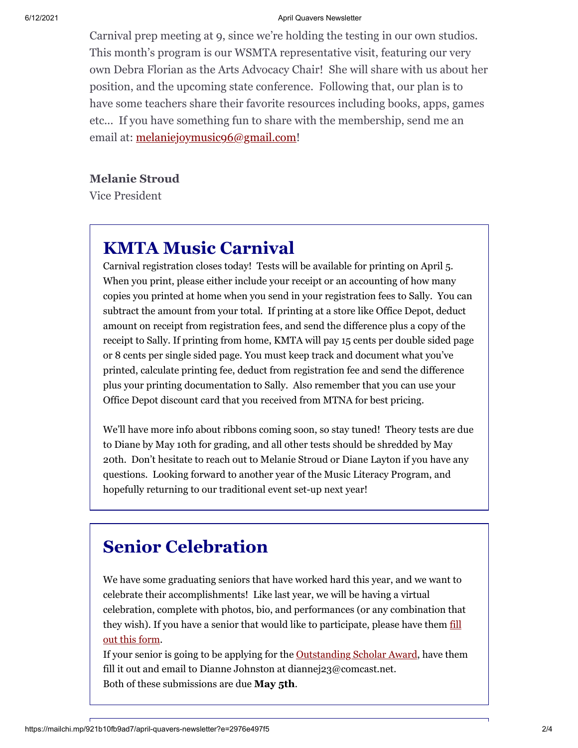#### 6/12/2021 April Quavers Newsletter

Carnival prep meeting at 9, since we're holding the testing in our own studios. This month's program is our WSMTA representative visit, featuring our very own Debra Florian as the Arts Advocacy Chair! She will share with us about her position, and the upcoming state conference. Following that, our plan is to have some teachers share their favorite resources including books, apps, games etc... If you have something fun to share with the membership, send me an email at: [melaniejoymusic96@gmail.com!](mailto:melaniejoymusic96@gmail.com)

#### **Melanie Stroud**

Vice President

# **KMTA Music Carnival**

Carnival registration closes today! Tests will be available for printing on April 5. When you print, please either include your receipt or an accounting of how many copies you printed at home when you send in your registration fees to Sally. You can subtract the amount from your total. If printing at a store like Office Depot, deduct amount on receipt from registration fees, and send the difference plus a copy of the receipt to Sally. If printing from home, KMTA will pay 15 cents per double sided page or 8 cents per single sided page. You must keep track and document what you've printed, calculate printing fee, deduct from registration fee and send the difference plus your printing documentation to Sally. Also remember that you can use your Office Depot discount card that you received from MTNA for best pricing.

We'll have more info about ribbons coming soon, so stay tuned! Theory tests are due to Diane by May 10th for grading, and all other tests should be shredded by May 20th. Don't hesitate to reach out to Melanie Stroud or Diane Layton if you have any questions. Looking forward to another year of the Music Literacy Program, and hopefully returning to our traditional event set-up next year!

# **Senior Celebration**

We have some graduating seniors that have worked hard this year, and we want to celebrate their accomplishments! Like last year, we will be having a virtual celebration, complete with photos, bio, and performances (or any combination that [they wish\). If you have a senior that would like to participate, please have them fill](https://docs.google.com/forms/d/e/1FAIpQLSfM8HZ5PtdTzD6CT6McvD45Zt1-Fbqw5v98CTS_N5Pj58Njqw/viewform?usp=sf_link) out this form.

If your senior is going to be applying for the [Outstanding Scholar Award](http://www.kitsapmusicteachers.org/wp-content/uploads/2018/11/OSA-Application-no-date.pdf), have them fill it out and email to Dianne Johnston at diannej23@comcast.net. Both of these submissions are due **May 5th**.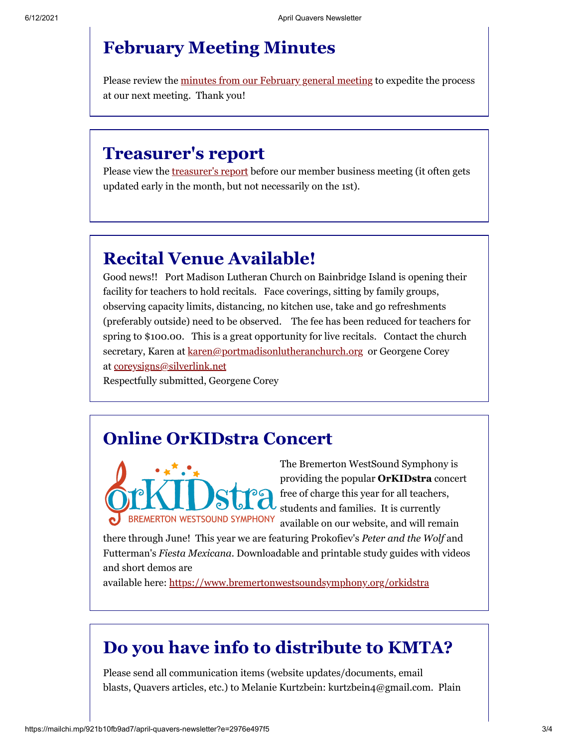### **February Meeting Minutes**

Please review the [minutes from our February general meeting](https://drive.google.com/file/d/1jJP6N8HKBrjjkWNH4sEWHO65qd5PQeX5/view?usp=sharing) to expedite the process at our next meeting. Thank you!

#### **Treasurer's report**

Please view the **treasurer's report** before our member business meeting (it often gets updated early in the month, but not necessarily on the 1st).

### **Recital Venue Available!**

Good news!! Port Madison Lutheran Church on Bainbridge Island is opening their facility for teachers to hold recitals. Face coverings, sitting by family groups, observing capacity limits, distancing, no kitchen use, take and go refreshments (preferably outside) need to be observed. The fee has been reduced for teachers for spring to \$100.00. This is a great opportunity for live recitals. Contact the church secretary, Karen at [karen@portmadisonlutheranchurch.org](mailto:karen@portmadisonlutheranchurch.org) or Georgene Corey at [coreysigns@silverlink.net](mailto:coreysigns@silverlink.net)

Respectfully submitted, Georgene Corey

#### **Online OrKIDstra Concert**



The Bremerton WestSound Symphony is providing the popular **OrKIDstra** concert free of charge this year for all teachers, students and families. It is currently available on our website, and will remain

there through June! This year we are featuring Prokofiev's *Peter and the Wolf* and Futterman's *Fiesta Mexicana.* Downloadable and printable study guides with videos and short demos are

available here: <https://www.bremertonwestsoundsymphony.org/orkidstra>

#### **Do you have info to distribute to KMTA?**

Please send all communication items (website updates/documents, email blasts, Quavers articles, etc.) to Melanie Kurtzbein: kurtzbein4@gmail.com. Plain